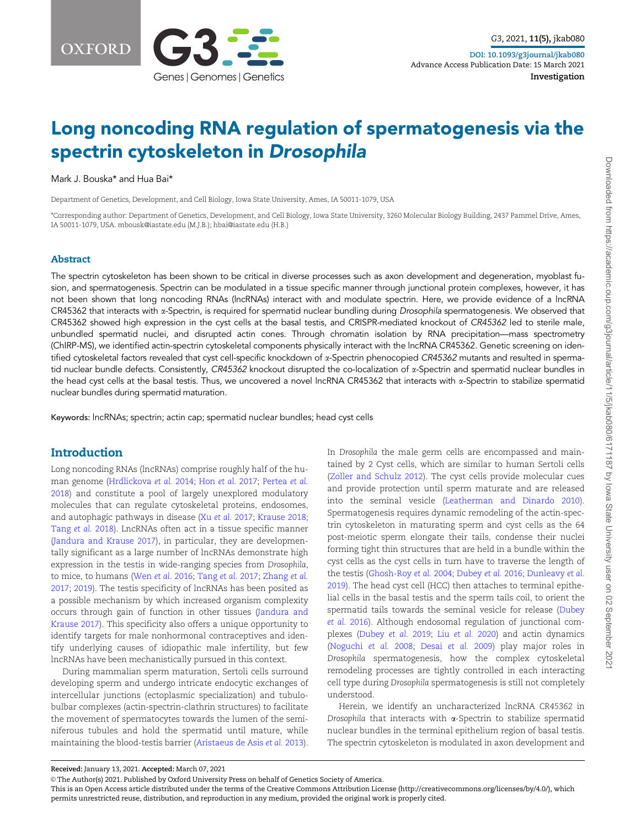

# Long noncoding RNA regulation of spermatogenesis via the spectrin cytoskeleton in Drosophila

Mark J. Bouska\* and Hua Bai\*

Department of Genetics, Development, and Cell Biology, Iowa State University, Ames, IA 50011-1079, USA

\*Corresponding author: Department of Genetics, Development, and Cell Biology, Iowa State University, 3260 Molecular Biology Building, 2437 Pammel Drive, Ames, IA 50011-1079, USA. mbousk@iastate.edu (M.J.B.); hbai@iastate.edu (H.B.)

#### Abstract

The spectrin cytoskeleton has been shown to be critical in diverse processes such as axon development and degeneration, myoblast fusion, and spermatogenesis. Spectrin can be modulated in a tissue specific manner through junctional protein complexes, however, it has not been shown that long noncoding RNAs (lncRNAs) interact with and modulate spectrin. Here, we provide evidence of a lncRNA CR45362 that interacts with  $\alpha$ -Spectrin, is required for spermatid nuclear bundling during Drosophila spermatogenesis. We observed that CR45362 showed high expression in the cyst cells at the basal testis, and CRISPR-mediated knockout of CR45362 led to sterile male, unbundled spermatid nuclei, and disrupted actin cones. Through chromatin isolation by RNA precipitation—mass spectrometry (ChIRP-MS), we identified actin-spectrin cytoskeletal components physically interact with the lncRNA CR45362. Genetic screening on identified cytoskeletal factors revealed that cyst cell-specific knockdown of α-Spectrin phenocopied CR45362 mutants and resulted in spermatid nuclear bundle defects. Consistently, CR45362 knockout disrupted the co-localization of  $\alpha$ -Spectrin and spermatid nuclear bundles in the head cyst cells at the basal testis. Thus, we uncovered a novel lncRNA CR45362 that interacts with a-Spectrin to stabilize spermatid nuclear bundles during spermatid maturation.

Keywords: lncRNAs; spectrin; actin cap; spermatid nuclear bundles; head cyst cells

#### Introduction

Long noncoding RNAs (lncRNAs) comprise roughly half of the human genome ([Hrdlickova](#page-7-0) et al. 2014; Hon [et al.](#page-7-0) 2017; [Pertea](#page-7-0) et al. [2018](#page-7-0)) and constitute a pool of largely unexplored modulatory molecules that can regulate cytoskeletal proteins, endosomes, and autophagic pathways in disease (Xu et al. [2017](#page-8-0); [Krause 2018](#page-7-0); [Tang](#page-7-0) et al. 2018). LncRNAs often act in a tissue specific manner ([Jandura and Krause 2017](#page-7-0)), in particular, they are developmentally significant as a large number of lncRNAs demonstrate high expression in the testis in wide-ranging species from Drosophila, to mice, to humans [\(Wen](#page-8-0) et al. 2016; [Tang](#page-7-0) et al. 2017; [Zhang](#page-8-0) et al. [2017](#page-8-0); [2019](#page-8-0)). The testis specificity of lncRNAs has been posited as a possible mechanism by which increased organism complexity occurs through gain of function in other tissues ([Jandura and](#page-7-0) [Krause 2017\)](#page-7-0). This specificity also offers a unique opportunity to identify targets for male nonhormonal contraceptives and identify underlying causes of idiopathic male infertility, but few lncRNAs have been mechanistically pursued in this context.

During mammalian sperm maturation, Sertoli cells surround developing sperm and undergo intricate endocytic exchanges of intercellular junctions (ectoplasmic specialization) and tubulobulbar complexes (actin-spectrin-clathrin structures) to facilitate the movement of spermatocytes towards the lumen of the seminiferous tubules and hold the spermatid until mature, while maintaining the blood-testis barrier ([Aristaeus de Asis](#page-7-0) et al. 2013).

In Drosophila the male germ cells are encompassed and maintained by 2 Cyst cells, which are similar to human Sertoli cells ([Zoller and Schulz 2012\)](#page-8-0). The cyst cells provide molecular cues and provide protection until sperm maturate and are released into the seminal vesicle ([Leatherman and Dinardo 2010](#page-7-0)). Spermatogenesis requires dynamic remodeling of the actin-spectrin cytoskeleton in maturating sperm and cyst cells as the 64 post-meiotic sperm elongate their tails, condense their nuclei forming tight thin structures that are held in a bundle within the cyst cells as the cyst cells in turn have to traverse the length of the testis [\(Ghosh-Roy](#page-7-0) et al. 2004; [Dubey](#page-7-0) et al. 2016; [Dunleavy](#page-7-0) et al. [2019\)](#page-7-0). The head cyst cell (HCC) then attaches to terminal epithelial cells in the basal testis and the sperm tails coil, to orient the spermatid tails towards the seminal vesicle for release ([Dubey](#page-7-0) [et al.](#page-7-0) 2016). Although endosomal regulation of junctional complexes ([Dubey](#page-7-0) et al. 2019; Liu [et al.](#page-7-0) 2020) and actin dynamics ([Noguchi](#page-7-0) et al. 2008; [Desai](#page-7-0) et al. 2009) play major roles in Drosophila spermatogenesis, how the complex cytoskeletal remodeling processes are tightly controlled in each interacting cell type during Drosophila spermatogenesis is still not completely understood.

Herein, we identify an uncharacterized lncRNA CR45362 in Drosophila that interacts with  $\alpha$ -Spectrin to stabilize spermatid nuclear bundles in the terminal epithelium region of basal testis. The spectrin cytoskeleton is modulated in axon development and

Received: January 13, 2021. Accepted: March 07, 2021

V<sup>C</sup> The Author(s) 2021. Published by Oxford University Press on behalf of Genetics Society of America.

This is an Open Access article distributed under the terms of the Creative Commons Attribution License (http://creativecommons.org/licenses/by/4.0/), which permits unrestricted reuse, distribution, and reproduction in any medium, provided the original work is properly cited.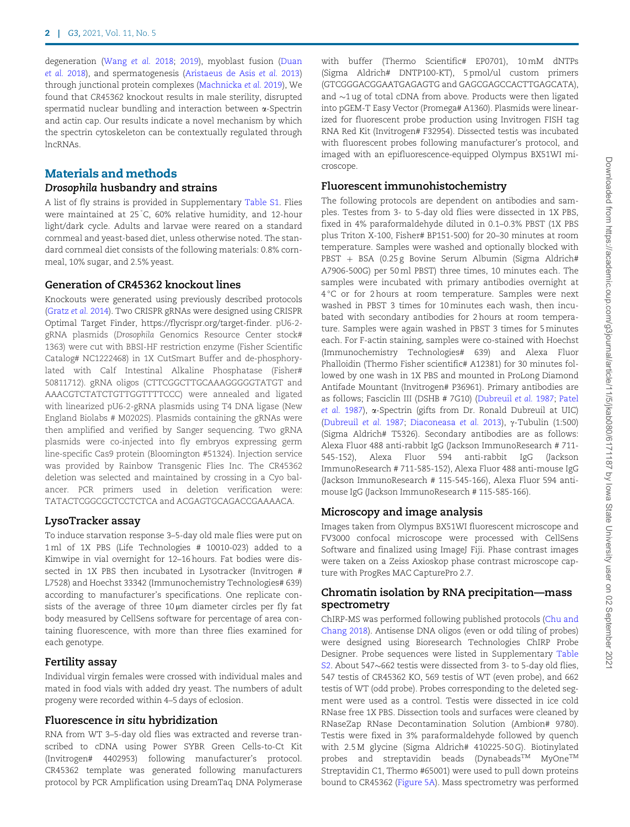degeneration [\(Wang](#page-8-0) et al. 2018; [2019\)](#page-8-0), myoblast fusion [\(Duan](#page-7-0) et al. [2018\)](#page-7-0), and spermatogenesis [\(Aristaeus de Asis](#page-7-0) et al. 2013) through junctional protein complexes [\(Machnicka](#page-7-0) et al. 2019), We found that CR45362 knockout results in male sterility, disrupted spermatid nuclear bundling and interaction between a-Spectrin and actin cap. Our results indicate a novel mechanism by which the spectrin cytoskeleton can be contextually regulated through lncRNAs.

## Materials and methods

#### Drosophila husbandry and strains

A list of fly strains is provided in Supplementary [Table S1.](academic.oup.com/g3journal/article-lookup/doi/10.1093/g3journal/jkab080#supplementary-data) Flies were maintained at 25°C, 60% relative humidity, and 12-hour light/dark cycle. Adults and larvae were reared on a standard cornmeal and yeast-based diet, unless otherwise noted. The standard cornmeal diet consists of the following materials: 0.8% cornmeal, 10% sugar, and 2.5% yeast.

#### Generation of CR45362 knockout lines

Knockouts were generated using previously described protocols ([Gratz](#page-7-0) et al. 2014). Two CRISPR gRNAs were designed using CRISPR Optimal Target Finder, [https://flycrispr.org/target-finder.](https://flycrispr.org/target-finder) pU6-2 gRNA plasmids (Drosophila Genomics Resource Center stock# 1363) were cut with BBSI-HF restriction enzyme (Fisher Scientific Catalog# NC1222468) in 1X CutSmart Buffer and de-phosphorylated with Calf Intestinal Alkaline Phosphatase (Fisher# 50811712). gRNA oligos (CTTCGGCTTGCAAAGGGGGTATGT and AAACGTCTATCTGTTGGTTTTCCC) were annealed and ligated with linearized pU6-2-gRNA plasmids using T4 DNA ligase (New England Biolabs # M0202S). Plasmids containing the gRNAs were then amplified and verified by Sanger sequencing. Two gRNA plasmids were co-injected into fly embryos expressing germ line-specific Cas9 protein (Bloomington #51324). Injection service was provided by Rainbow Transgenic Flies Inc. The CR45362 deletion was selected and maintained by crossing in a Cyo balancer. PCR primers used in deletion verification were: TATACTCGGCGCTCCTCTCA and ACGAGTGCAGACCGAAAACA.

#### LysoTracker assay

To induce starvation response 3–5-day old male flies were put on 1 ml of 1X PBS (Life Technologies # 10010-023) added to a Kimwipe in vial overnight for 12–16 hours. Fat bodies were dissected in 1X PBS then incubated in Lysotracker (Invitrogen # L7528) and Hoechst 33342 (Immunochemistry Technologies# 639) according to manufacturer's specifications. One replicate consists of the average of three  $10 \mu m$  diameter circles per fly fat body measured by CellSens software for percentage of area containing fluorescence, with more than three flies examined for each genotype.

#### Fertility assay

Individual virgin females were crossed with individual males and mated in food vials with added dry yeast. The numbers of adult progeny were recorded within 4–5 days of eclosion.

#### Fluorescence in situ hybridization

RNA from WT 3–5-day old flies was extracted and reverse transcribed to cDNA using Power SYBR Green Cells-to-Ct Kit (Invitrogen# 4402953) following manufacturer's protocol. CR45362 template was generated following manufacturers protocol by PCR Amplification using DreamTaq DNA Polymerase with buffer (Thermo Scientific# EP0701), 10 mM dNTPs (Sigma Aldrich# DNTP100-KT), 5 pmol/ul custom primers (GTCGGGACGGAATGAGAGTG and GAGCGAGCCACTTGAGCATA), and  $\sim$ 1 ug of total cDNA from above. Products were then ligated into pGEM-T Easy Vector (Promega# A1360). Plasmids were linearized for fluorescent probe production using Invitrogen FISH tag RNA Red Kit (Invitrogen# F32954). Dissected testis was incubated with fluorescent probes following manufacturer's protocol, and imaged with an epifluorescence-equipped Olympus BX51WI microscope.

#### Fluorescent immunohistochemistry

The following protocols are dependent on antibodies and samples. Testes from 3- to 5-day old flies were dissected in 1X PBS, fixed in 4% paraformaldehyde diluted in 0.1–0.3% PBST (1X PBS plus Triton X-100, Fisher# BP151-500) for 20–30 minutes at room temperature. Samples were washed and optionally blocked with  $PBST + BSA$  (0.25 g Bovine Serum Albumin (Sigma Aldrich# A7906-500G) per 50 ml PBST) three times, 10 minutes each. The samples were incubated with primary antibodies overnight at 4 °C or for 2 hours at room temperature. Samples were next washed in PBST 3 times for 10 minutes each wash, then incubated with secondary antibodies for 2 hours at room temperature. Samples were again washed in PBST 3 times for 5 minutes each. For F-actin staining, samples were co-stained with Hoechst (Immunochemistry Technologies# 639) and Alexa Fluor Phalloidin (Thermo Fisher scientific# A12381) for 30 minutes followed by one wash in 1X PBS and mounted in ProLong Diamond Antifade Mountant (Invitrogen# P36961). Primary antibodies are as follows; Fasciclin III (DSHB # 7G10) ([Dubreuil](#page-7-0) et al. 1987; [Patel](#page-7-0) [et al.](#page-7-0) 1987), a-Spectrin (gifts from Dr. Ronald Dubreuil at UIC) [\(Dubreuil](#page-7-0) et al. 1987; [Diaconeasa](#page-7-0) et al. 2013),  $\gamma$ -Tubulin (1:500) (Sigma Aldrich# T5326). Secondary antibodies are as follows: Alexa Fluor 488 anti-rabbit IgG (Jackson ImmunoResearch # 711- 545-152), Alexa Fluor 594 anti-rabbit IgG (Jackson ImmunoResearch # 711-585-152), Alexa Fluor 488 anti-mouse IgG (Jackson ImmunoResearch # 115-545-166), Alexa Fluor 594 antimouse IgG (Jackson ImmunoResearch # 115-585-166).

#### Microscopy and image analysis

Images taken from Olympus BX51WI fluorescent microscope and FV3000 confocal microscope were processed with CellSens Software and finalized using ImageJ Fiji. Phase contrast images were taken on a Zeiss Axioskop phase contrast microscope capture with ProgRes MAC CapturePro 2.7.

#### Chromatin isolation by RNA precipitation—mass spectrometry

ChIRP-MS was performed following published protocols [\(Chu and](#page-7-0) [Chang 2018\)](#page-7-0). Antisense DNA oligos (even or odd tiling of probes) were designed using Bioresearch Technologies ChIRP Probe Designer. Probe sequences were listed in Supplementary [Table](academic.oup.com/g3journal/article-lookup/doi/10.1093/g3journal/jkab080#supplementary-data) [S2.](academic.oup.com/g3journal/article-lookup/doi/10.1093/g3journal/jkab080#supplementary-data) About  $547~662$  testis were dissected from 3- to 5-day old flies, 547 testis of CR45362 KO, 569 testis of WT (even probe), and 662 testis of WT (odd probe). Probes corresponding to the deleted segment were used as a control. Testis were dissected in ice cold RNase free 1X PBS. Dissection tools and surfaces were cleaned by RNaseZap RNase Decontamination Solution (Ambion# 9780). Testis were fixed in 3% paraformaldehyde followed by quench with 2.5 M glycine (Sigma Aldrich# 410225-50 G). Biotinylated probes and streptavidin beads (Dynabeads<sup>TM</sup> MyOne<sup>TM</sup> Streptavidin C1, Thermo #65001) were used to pull down proteins bound to CR45362 ([Figure 5A](#page-5-0)). Mass spectrometry was performed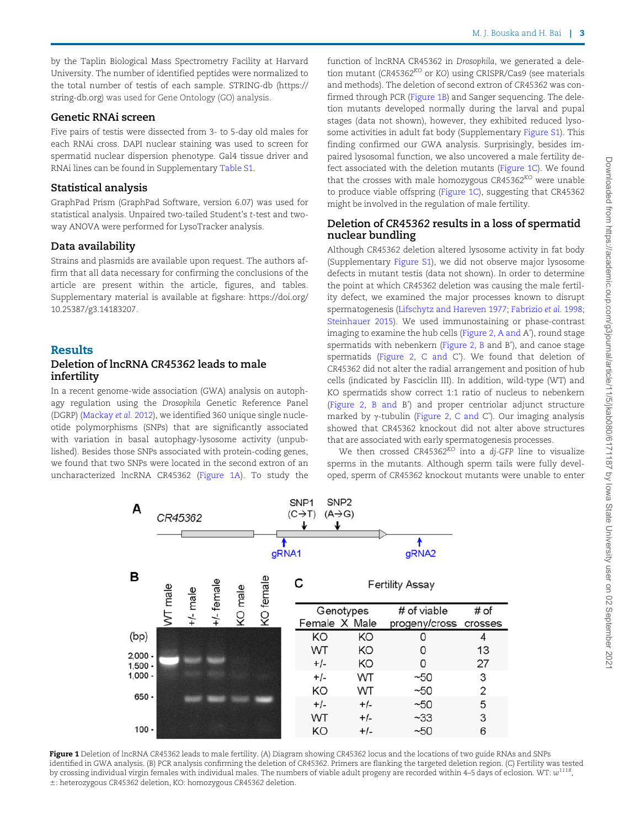by the Taplin Biological Mass Spectrometry Facility at Harvard University. The number of identified peptides were normalized to the total number of testis of each sample. STRING-db ([https://](https://string-db.org) [string-db.org\)](https://string-db.org) was used for Gene Ontology (GO) analysis.

#### Genetic RNAi screen

Five pairs of testis were dissected from 3- to 5-day old males for each RNAi cross. DAPI nuclear staining was used to screen for spermatid nuclear dispersion phenotype. Gal4 tissue driver and RNAi lines can be found in Supplementary [Table S1](academic.oup.com/g3journal/article-lookup/doi/10.1093/g3journal/jkab080#supplementary-data).

#### Statistical analysis

GraphPad Prism (GraphPad Software, version 6.07) was used for statistical analysis. Unpaired two-tailed Student's t-test and twoway ANOVA were performed for LysoTracker analysis.

#### Data availability

Strains and plasmids are available upon request. The authors affirm that all data necessary for confirming the conclusions of the article are present within the article, figures, and tables. Supplementary material is available at figshare: [https://doi.org/](https://doi.org/10.25387/g3.14183207) [10.25387/g3.14183207.](https://doi.org/10.25387/g3.14183207)

#### Results

#### Deletion of lncRNA CR45362 leads to male infertility

In a recent genome-wide association (GWA) analysis on autophagy regulation using the Drosophila Genetic Reference Panel (DGRP) [\(Mackay](#page-7-0) et al. 2012), we identified 360 unique single nucleotide polymorphisms (SNPs) that are significantly associated with variation in basal autophagy-lysosome activity (unpublished). Besides those SNPs associated with protein-coding genes, we found that two SNPs were located in the second extron of an uncharacterized lncRNA CR45362 (Figure 1A). To study the

function of lncRNA CR45362 in Drosophila, we generated a deletion mutant (CR45362<sup>KO</sup> or KO) using CRISPR/Cas9 (see materials and methods). The deletion of second extron of CR45362 was confirmed through PCR (Figure 1B) and Sanger sequencing. The deletion mutants developed normally during the larval and pupal stages (data not shown), however, they exhibited reduced lysosome activities in adult fat body (Supplementary [Figure S1\)](academic.oup.com/g3journal/article-lookup/doi/10.1093/g3journal/jkab080#supplementary-data). This finding confirmed our GWA analysis. Surprisingly, besides impaired lysosomal function, we also uncovered a male fertility defect associated with the deletion mutants (Figure 1C). We found that the crosses with male homozygous  $CR45362^{KO}$  were unable to produce viable offspring (Figure 1C), suggesting that CR45362 might be involved in the regulation of male fertility.

#### Deletion of CR45362 results in a loss of spermatid nuclear bundling

Although CR45362 deletion altered lysosome activity in fat body (Supplementary [Figure S1\)](academic.oup.com/g3journal/article-lookup/doi/10.1093/g3journal/jkab080#supplementary-data), we did not observe major lysosome defects in mutant testis (data not shown). In order to determine the point at which CR45362 deletion was causing the male fertility defect, we examined the major processes known to disrupt spermatogenesis ([Lifschytz and Hareven 1977](#page-7-0); [Fabrizio](#page-7-0) et al. 1998; [Steinhauer 2015\)](#page-7-0). We used immunostaining or phase-contrast imaging to examine the hub cells [\(Figure 2, A and](#page-3-0) A'), round stage spermatids with nebenkern [\(Figure 2, B](#page-3-0) and B'), and canoe stage spermatids ([Figure 2, C and](#page-3-0) C'). We found that deletion of CR45362 did not alter the radial arrangement and position of hub cells (indicated by Fasciclin III). In addition, wild-type (WT) and KO spermatids show correct 1:1 ratio of nucleus to nebenkern ([Figure 2, B and](#page-3-0) B') and proper centriolar adjunct structure marked by  $\gamma$ -tubulin ([Figure 2, C and](#page-3-0) C'). Our imaging analysis showed that CR45362 knockout did not alter above structures that are associated with early spermatogenesis processes.

We then crossed  $CR45362^{KO}$  into a dj-GFP line to visualize sperms in the mutants. Although sperm tails were fully developed, sperm of CR45362 knockout mutants were unable to enter



Figure 1 Deletion of lncRNA CR45362 leads to male fertility. (A) Diagram showing CR45362 locus and the locations of two guide RNAs and SNPs identified in GWA analysis. (B) PCR analysis confirming the deletion of CR45362. Primers are flanking the targeted deletion region. (C) Fertility was tested by crossing individual virgin females with individual males. The numbers of viable adult progeny are recorded within 4–5 days of eclosion. WT:  $w^{1118}$ , 6: heterozygous CR45362 deletion, KO: homozygous CR45362 deletion.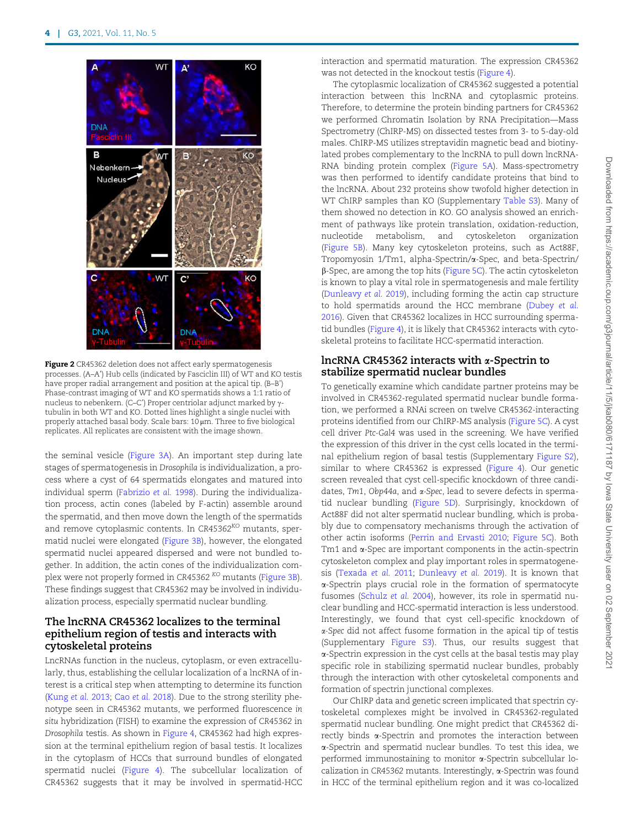<span id="page-3-0"></span>

Figure 2 CR45362 deletion does not affect early spermatogenesis processes. (A–A') Hub cells (indicated by Fasciclin III) of WT and KO testis have proper radial arrangement and position at the apical tip. (B–B') Phase-contrast imaging of WT and KO spermatids shows a 1:1 ratio of nucleus to nebenkern. (C–C') Proper centriolar adjunct marked by  $\gamma$ tubulin in both WT and KO. Dotted lines highlight a single nuclei with properly attached basal body. Scale bars: 10 um. Three to five biological replicates. All replicates are consistent with the image shown.

the seminal vesicle [\(Figure 3A\)](#page-4-0). An important step during late stages of spermatogenesis in Drosophila is individualization, a process where a cyst of 64 spermatids elongates and matured into individual sperm [\(Fabrizio](#page-7-0) et al. 1998). During the individualization process, actin cones (labeled by F-actin) assemble around the spermatid, and then move down the length of the spermatids and remove cytoplasmic contents. In CR45362<sup>KO</sup> mutants, spermatid nuclei were elongated [\(Figure 3B](#page-4-0)), however, the elongated spermatid nuclei appeared dispersed and were not bundled together. In addition, the actin cones of the individualization com-plex were not properly formed in CR45362<sup>KO</sup> mutants ([Figure 3B](#page-4-0)). These findings suggest that CR45362 may be involved in individualization process, especially spermatid nuclear bundling.

#### The lncRNA CR45362 localizes to the terminal epithelium region of testis and interacts with cytoskeletal proteins

LncRNAs function in the nucleus, cytoplasm, or even extracellularly, thus, establishing the cellular localization of a lncRNA of interest is a critical step when attempting to determine its function ([Kung](#page-7-0) et al. 2013; Cao et al. [2018\)](#page-7-0). Due to the strong sterility phenotype seen in CR45362 mutants, we performed fluorescence in situ hybridization (FISH) to examine the expression of CR45362 in Drosophila testis. As shown in [Figure 4,](#page-5-0) CR45362 had high expression at the terminal epithelium region of basal testis. It localizes in the cytoplasm of HCCs that surround bundles of elongated spermatid nuclei ([Figure 4](#page-5-0)). The subcellular localization of CR45362 suggests that it may be involved in spermatid-HCC interaction and spermatid maturation. The expression CR45362 was not detected in the knockout testis [\(Figure 4\)](#page-5-0).

The cytoplasmic localization of CR45362 suggested a potential interaction between this lncRNA and cytoplasmic proteins. Therefore, to determine the protein binding partners for CR45362 we performed Chromatin Isolation by RNA Precipitation—Mass Spectrometry (ChIRP-MS) on dissected testes from 3- to 5-day-old males. ChIRP-MS utilizes streptavidin magnetic bead and biotinylated probes complementary to the lncRNA to pull down lncRNA-RNA binding protein complex [\(Figure 5A](#page-5-0)). Mass-spectrometry was then performed to identify candidate proteins that bind to the lncRNA. About 232 proteins show twofold higher detection in WT ChIRP samples than KO (Supplementary [Table S3\)](academic.oup.com/g3journal/article-lookup/doi/10.1093/g3journal/jkab080#supplementary-data). Many of them showed no detection in KO. GO analysis showed an enrichment of pathways like protein translation, oxidation-reduction, nucleotide metabolism, and cytoskeleton organization [\(Figure 5B\)](#page-5-0). Many key cytoskeleton proteins, such as Act88F, Tropomyosin 1/Tm1, alpha-Spectrin/a-Spec, and beta-Spectrin/ b-Spec, are among the top hits [\(Figure 5C](#page-5-0)). The actin cytoskeleton is known to play a vital role in spermatogenesis and male fertility [\(Dunleavy](#page-7-0) et al. 2019), including forming the actin cap structure to hold spermatids around the HCC membrane ([Dubey](#page-7-0) et al. [2016](#page-7-0)). Given that CR45362 localizes in HCC surrounding spermatid bundles ([Figure 4](#page-5-0)), it is likely that CR45362 interacts with cytoskeletal proteins to facilitate HCC-spermatid interaction.

#### lncRNA CR45362 interacts with  $\alpha$ -Spectrin to stabilize spermatid nuclear bundles

To genetically examine which candidate partner proteins may be involved in CR45362-regulated spermatid nuclear bundle formation, we performed a RNAi screen on twelve CR45362-interacting proteins identified from our ChIRP-MS analysis ([Figure 5C\)](#page-5-0). A cyst cell driver Ptc-Gal4 was used in the screening. We have verified the expression of this driver in the cyst cells located in the terminal epithelium region of basal testis (Supplementary [Figure S2\)](academic.oup.com/g3journal/article-lookup/doi/10.1093/g3journal/jkab080#supplementary-data), similar to where CR45362 is expressed [\(Figure 4\)](#page-5-0). Our genetic screen revealed that cyst cell-specific knockdown of three candidates, Tm1, Obp44a, and  $\alpha$ -Spec, lead to severe defects in spermatid nuclear bundling [\(Figure 5D\)](#page-5-0). Surprisingly, knockdown of Act88F did not alter spermatid nuclear bundling, which is probably due to compensatory mechanisms through the activation of other actin isoforms ([Perrin and Ervasti 2010](#page-7-0); [Figure 5C\)](#page-5-0). Both Tm1 and a-Spec are important components in the actin-spectrin cytoskeleton complex and play important roles in spermatogenesis ([Texada](#page-8-0) et al. 2011; [Dunleavy](#page-7-0) et al. 2019). It is known that a-Spectrin plays crucial role in the formation of spermatocyte fusomes [\(Schulz](#page-7-0) et al. 2004), however, its role in spermatid nuclear bundling and HCC-spermatid interaction is less understood. Interestingly, we found that cyst cell-specific knockdown of a-Spec did not affect fusome formation in the apical tip of testis (Supplementary [Figure S3](academic.oup.com/g3journal/article-lookup/doi/10.1093/g3journal/jkab080#supplementary-data)). Thus, our results suggest that a-Spectrin expression in the cyst cells at the basal testis may play specific role in stabilizing spermatid nuclear bundles, probably through the interaction with other cytoskeletal components and formation of spectrin junctional complexes.

Our ChIRP data and genetic screen implicated that spectrin cytoskeletal complexes might be involved in CR45362-regulated spermatid nuclear bundling. One might predict that CR45362 directly binds a-Spectrin and promotes the interaction between a-Spectrin and spermatid nuclear bundles. To test this idea, we performed immunostaining to monitor a-Spectrin subcellular localization in CR45362 mutants. Interestingly, a-Spectrin was found in HCC of the terminal epithelium region and it was co-localized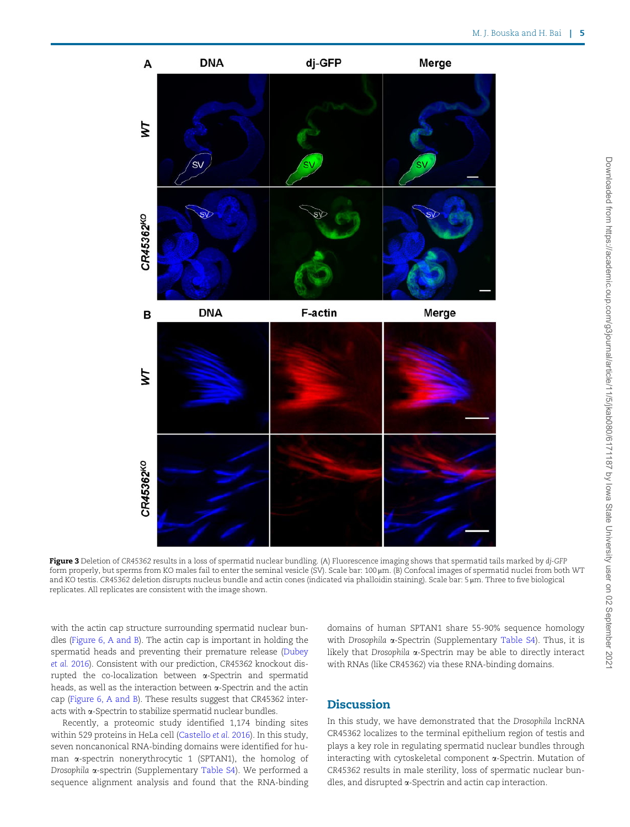<span id="page-4-0"></span>

Figure 3 Deletion of CR45362 results in a loss of spermatid nuclear bundling. (A) Fluorescence imaging shows that spermatid tails marked by dj-GFP form properly, but sperms from KO males fail to enter the seminal vesicle (SV). Scale bar: 100 µm. (B) Confocal images of spermatid nuclei from both WT and KO testis. CR45362 deletion disrupts nucleus bundle and actin cones (indicated via phalloidin staining). Scale bar: 5 µm. Three to five biological replicates. All replicates are consistent with the image shown.

with the actin cap structure surrounding spermatid nuclear bundles ([Figure 6, A and B](#page-6-0)). The actin cap is important in holding the spermatid heads and preventing their premature release [\(Dubey](#page-7-0) [et al.](#page-7-0) 2016). Consistent with our prediction, CR45362 knockout disrupted the co-localization between a-Spectrin and spermatid heads, as well as the interaction between a-Spectrin and the actin cap [\(Figure 6, A and B](#page-6-0)). These results suggest that CR45362 interacts with a-Spectrin to stabilize spermatid nuclear bundles.

Recently, a proteomic study identified 1,174 binding sites within 529 proteins in HeLa cell [\(Castello](#page-7-0) et al. 2016). In this study, seven noncanonical RNA-binding domains were identified for human a-spectrin nonerythrocytic 1 (SPTAN1), the homolog of Drosophila a-spectrin (Supplementary [Table S4\)](academic.oup.com/g3journal/article-lookup/doi/10.1093/g3journal/jkab080#supplementary-data). We performed a sequence alignment analysis and found that the RNA-binding

domains of human SPTAN1 share 55-90% sequence homology with Drosophila  $\alpha$ -Spectrin (Supplementary [Table S4](academic.oup.com/g3journal/article-lookup/doi/10.1093/g3journal/jkab080#supplementary-data)). Thus, it is likely that Drosophila a-Spectrin may be able to directly interact with RNAs (like CR45362) via these RNA-binding domains.

#### **Discussion**

In this study, we have demonstrated that the Drosophila lncRNA CR45362 localizes to the terminal epithelium region of testis and plays a key role in regulating spermatid nuclear bundles through interacting with cytoskeletal component a-Spectrin. Mutation of CR45362 results in male sterility, loss of spermatic nuclear bundles, and disrupted a-Spectrin and actin cap interaction.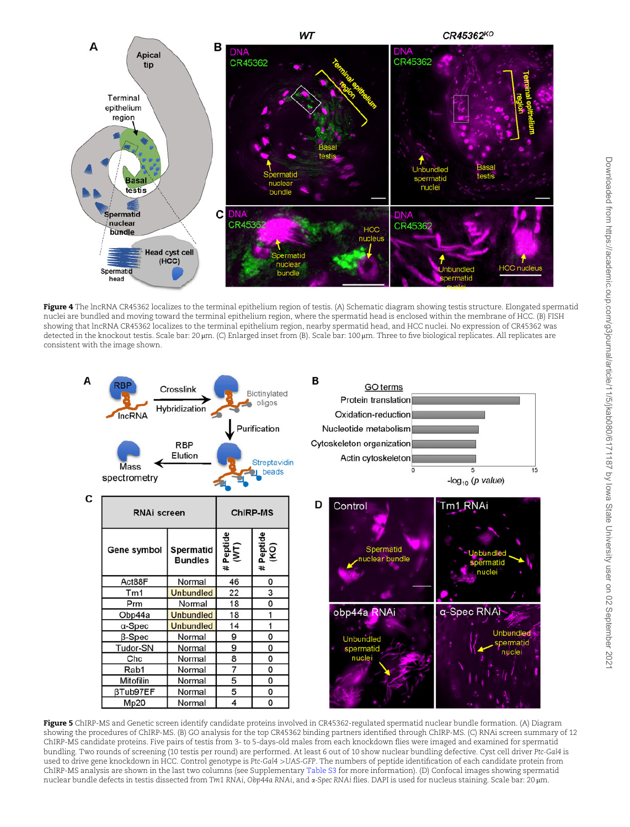<span id="page-5-0"></span>

Figure 4 The lncRNA CR45362 localizes to the terminal epithelium region of testis. (A) Schematic diagram showing testis structure. Elongated spermatid nuclei are bundled and moving toward the terminal epithelium region, where the spermatid head is enclosed within the membrane of HCC. (B) FISH showing that lncRNA CR45362 localizes to the terminal epithelium region, nearby spermatid head, and HCC nuclei. No expression of CR45362 was detected in the knockout testis. Scale bar: 20 µm. (C) Enlarged inset from (B). Scale bar: 100 µm. Three to five biological replicates. All replicates are consistent with the image shown.



Figure 5 ChIRP-MS and Genetic screen identify candidate proteins involved in CR45362-regulated spermatid nuclear bundle formation. (A) Diagram showing the procedures of ChIRP-MS. (B) GO analysis for the top CR45362 binding partners identified through ChIRP-MS. (C) RNAi screen summary of 12 ChIRP-MS candidate proteins. Five pairs of testis from 3- to 5-days-old males from each knockdown flies were imaged and examined for spermatid bundling. Two rounds of screening (10 testis per round) are performed. At least 6 out of 10 show nuclear bundling defective. Cyst cell driver Ptc-Gal4 is used to drive gene knockdown in HCC. Control genotype is Ptc-Gal4 >UAS-GFP. The numbers of peptide identification of each candidate protein from ChIRP-MS analysis are shown in the last two columns (see Supplementary [Table S3](academic.oup.com/g3journal/article-lookup/doi/10.1093/g3journal/jkab080#supplementary-data) for more information). (D) Confocal images showing spermatid nuclear bundle defects in testis dissected from Tm1 RNAi, Obp44a RNAi, and a-Spec RNAi flies. DAPI is used for nucleus staining. Scale bar: 20 µm.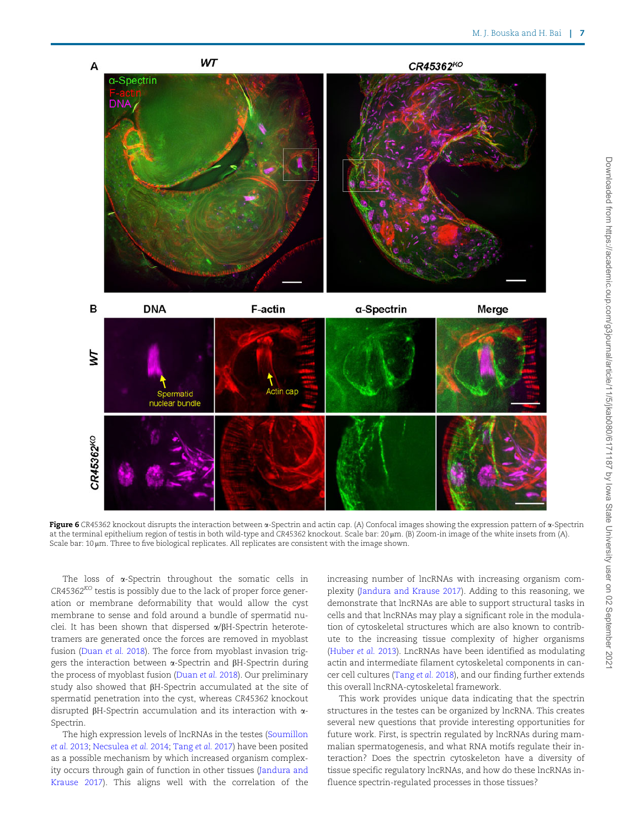<span id="page-6-0"></span>

Figure 6 CR45362 knockout disrupts the interaction between  $\alpha$ -Spectrin and actin cap. (A) Confocal images showing the expression pattern of  $\alpha$ -Spectrin at the terminal epithelium region of testis in both wild-type and CR45362 knockout. Scale bar: 20 µm. (B) Zoom-in image of the white insets from (A). Scale bar:  $10 \mu m$ . Three to five biological replicates. All replicates are consistent with the image shown.

The loss of  $\alpha$ -Spectrin throughout the somatic cells in  $CR45362<sup>KO</sup>$  testis is possibly due to the lack of proper force generation or membrane deformability that would allow the cyst membrane to sense and fold around a bundle of spermatid nuclei. It has been shown that dispersed  $\alpha/\beta H$ -Spectrin heterotetramers are generated once the forces are removed in myoblast fusion ([Duan](#page-7-0) et al. 2018). The force from myoblast invasion triggers the interaction between  $\alpha$ -Spectrin and  $\beta$ H-Spectrin during the process of myoblast fusion ([Duan](#page-7-0) et al. 2018). Our preliminary study also showed that  $\beta$ H-Spectrin accumulated at the site of spermatid penetration into the cyst, whereas CR45362 knockout disrupted  $\beta$ H-Spectrin accumulation and its interaction with  $\alpha$ -Spectrin.

The high expression levels of lncRNAs in the testes [\(Soumillon](#page-7-0) et al. [2013;](#page-7-0) [Necsulea](#page-7-0) et al. 2014; [Tang](#page-7-0) et al. 2017) have been posited as a possible mechanism by which increased organism complexity occurs through gain of function in other tissues [\(Jandura and](#page-7-0) [Krause 2017](#page-7-0)). This aligns well with the correlation of the increasing number of lncRNAs with increasing organism complexity [\(Jandura and Krause 2017](#page-7-0)). Adding to this reasoning, we demonstrate that lncRNAs are able to support structural tasks in cells and that lncRNAs may play a significant role in the modulation of cytoskeletal structures which are also known to contribute to the increasing tissue complexity of higher organisms ([Huber](#page-7-0) et al. 2013). LncRNAs have been identified as modulating actin and intermediate filament cytoskeletal components in cancer cell cultures ([Tang](#page-7-0) et al. 2018), and our finding further extends this overall lncRNA-cytoskeletal framework.

This work provides unique data indicating that the spectrin structures in the testes can be organized by lncRNA. This creates several new questions that provide interesting opportunities for future work. First, is spectrin regulated by lncRNAs during mammalian spermatogenesis, and what RNA motifs regulate their interaction? Does the spectrin cytoskeleton have a diversity of tissue specific regulatory lncRNAs, and how do these lncRNAs influence spectrin-regulated processes in those tissues?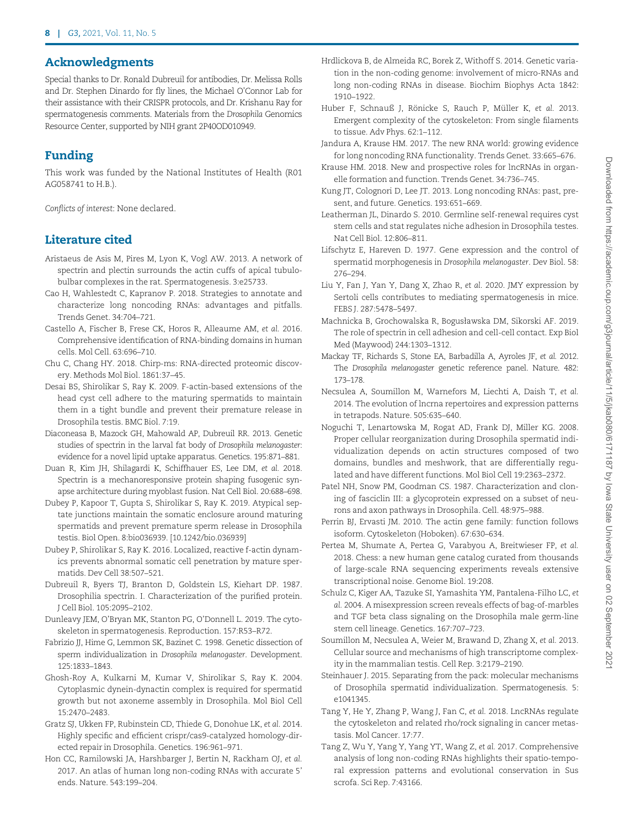### <span id="page-7-0"></span>Acknowledgments

Special thanks to Dr. Ronald Dubreuil for antibodies, Dr. Melissa Rolls and Dr. Stephen Dinardo for fly lines, the Michael O'Connor Lab for their assistance with their CRISPR protocols, and Dr. Krishanu Ray for spermatogenesis comments. Materials from the Drosophila Genomics Resource Center, supported by NIH grant 2P40OD010949.

## Funding

This work was funded by the National Institutes of Health (R01 AG058741 to H.B.).

Conflicts of interest: None declared.

## Literature cited

- Aristaeus de Asis M, Pires M, Lyon K, Vogl AW. 2013. A network of spectrin and plectin surrounds the actin cuffs of apical tubulobulbar complexes in the rat. Spermatogenesis. 3:e25733.
- Cao H, Wahlestedt C, Kapranov P. 2018. Strategies to annotate and characterize long noncoding RNAs: advantages and pitfalls. Trends Genet. 34:704–721.
- Castello A, Fischer B, Frese CK, Horos R, Alleaume AM, et al. 2016. Comprehensive identification of RNA-binding domains in human cells. Mol Cell. 63:696–710.
- Chu C, Chang HY. 2018. Chirp-ms: RNA-directed proteomic discovery. Methods Mol Biol. 1861:37–45.
- Desai BS, Shirolikar S, Ray K. 2009. F-actin-based extensions of the head cyst cell adhere to the maturing spermatids to maintain them in a tight bundle and prevent their premature release in Drosophila testis. BMC Biol. 7:19.
- Diaconeasa B, Mazock GH, Mahowald AP, Dubreuil RR. 2013. Genetic studies of spectrin in the larval fat body of Drosophila melanogaster: evidence for a novel lipid uptake apparatus. Genetics. 195:871–881.
- Duan R, Kim JH, Shilagardi K, Schiffhauer ES, Lee DM, et al. 2018. Spectrin is a mechanoresponsive protein shaping fusogenic synapse architecture during myoblast fusion. Nat Cell Biol. 20:688–698.
- Dubey P, Kapoor T, Gupta S, Shirolikar S, Ray K. 2019. Atypical septate junctions maintain the somatic enclosure around maturing spermatids and prevent premature sperm release in Drosophila testis. Biol Open. 8:bio036939. [10.1242/bio.036939]
- Dubey P, Shirolikar S, Ray K. 2016. Localized, reactive f-actin dynamics prevents abnormal somatic cell penetration by mature spermatids. Dev Cell 38:507–521.
- Dubreuil R, Byers TJ, Branton D, Goldstein LS, Kiehart DP. 1987. Drosophilia spectrin. I. Characterization of the purified protein. J Cell Biol. 105:2095–2102.
- Dunleavy JEM, O'Bryan MK, Stanton PG, O'Donnell L. 2019. The cytoskeleton in spermatogenesis. Reproduction. 157:R53–R72.
- Fabrizio JJ, Hime G, Lemmon SK, Bazinet C. 1998. Genetic dissection of sperm individualization in Drosophila melanogaster. Development. 125:1833–1843.
- Ghosh-Roy A, Kulkarni M, Kumar V, Shirolikar S, Ray K. 2004. Cytoplasmic dynein-dynactin complex is required for spermatid growth but not axoneme assembly in Drosophila. Mol Biol Cell 15:2470–2483.
- Gratz SJ, Ukken FP, Rubinstein CD, Thiede G, Donohue LK, et al. 2014. Highly specific and efficient crispr/cas9-catalyzed homology-directed repair in Drosophila. Genetics. 196:961–971.
- Hon CC, Ramilowski JA, Harshbarger J, Bertin N, Rackham OJ, et al. 2017. An atlas of human long non-coding RNAs with accurate 5' ends. Nature. 543:199–204.
- Hrdlickova B, de Almeida RC, Borek Z, Withoff S. 2014. Genetic variation in the non-coding genome: involvement of micro-RNAs and long non-coding RNAs in disease. Biochim Biophys Acta 1842: 1910–1922.
- Huber F, Schnauß J, Rönicke S, Rauch P, Müller K, et al. 2013. Emergent complexity of the cytoskeleton: From single filaments to tissue. Adv Phys. 62:1–112.
- Jandura A, Krause HM. 2017. The new RNA world: growing evidence for long noncoding RNA functionality. Trends Genet. 33:665–676.
- Krause HM. 2018. New and prospective roles for lncRNAs in organelle formation and function. Trends Genet. 34:736–745.
- Kung JT, Colognori D, Lee JT. 2013. Long noncoding RNAs: past, present, and future. Genetics. 193:651–669.
- Leatherman JL, Dinardo S. 2010. Germline self-renewal requires cyst stem cells and stat regulates niche adhesion in Drosophila testes. Nat Cell Biol. 12:806–811.
- Lifschytz E, Hareven D. 1977. Gene expression and the control of spermatid morphogenesis in Drosophila melanogaster. Dev Biol. 58: 276–294.
- Liu Y, Fan J, Yan Y, Dang X, Zhao R, et al. 2020. JMY expression by Sertoli cells contributes to mediating spermatogenesis in mice. FEBS J. 287:5478–5497.
- Machnicka B, Grochowalska R, Bogusławska DM, Sikorski AF. 2019. The role of spectrin in cell adhesion and cell-cell contact. Exp Biol Med (Maywood) 244:1303–1312.
- Mackay TF, Richards S, Stone EA, Barbadilla A, Ayroles JF, et al. 2012. The Drosophila melanogaster genetic reference panel. Nature. 482: 173–178.
- Necsulea A, Soumillon M, Warnefors M, Liechti A, Daish T, et al. 2014. The evolution of lncrna repertoires and expression patterns in tetrapods. Nature. 505:635–640.
- Noguchi T, Lenartowska M, Rogat AD, Frank DJ, Miller KG. 2008. Proper cellular reorganization during Drosophila spermatid individualization depends on actin structures composed of two domains, bundles and meshwork, that are differentially regulated and have different functions. Mol Biol Cell 19:2363–2372.
- Patel NH, Snow PM, Goodman CS. 1987. Characterization and cloning of fasciclin III: a glycoprotein expressed on a subset of neurons and axon pathways in Drosophila. Cell. 48:975–988.
- Perrin BJ, Ervasti JM. 2010. The actin gene family: function follows isoform. Cytoskeleton (Hoboken). 67:630–634.
- Pertea M, Shumate A, Pertea G, Varabyou A, Breitwieser FP, et al. 2018. Chess: a new human gene catalog curated from thousands of large-scale RNA sequencing experiments reveals extensive transcriptional noise. Genome Biol. 19:208.
- Schulz C, Kiger AA, Tazuke SI, Yamashita YM, Pantalena-Filho LC, et al. 2004. A misexpression screen reveals effects of bag-of-marbles and TGF beta class signaling on the Drosophila male germ-line stem cell lineage. Genetics. 167:707–723.
- Soumillon M, Necsulea A, Weier M, Brawand D, Zhang X, et al. 2013. Cellular source and mechanisms of high transcriptome complexity in the mammalian testis. Cell Rep. 3:2179–2190.
- Steinhauer J. 2015. Separating from the pack: molecular mechanisms of Drosophila spermatid individualization. Spermatogenesis. 5: e1041345.
- Tang Y, He Y, Zhang P, Wang J, Fan C, et al. 2018. LncRNAs regulate the cytoskeleton and related rho/rock signaling in cancer metastasis. Mol Cancer. 17:77.
- Tang Z, Wu Y, Yang Y, Yang YT, Wang Z, et al. 2017. Comprehensive analysis of long non-coding RNAs highlights their spatio-temporal expression patterns and evolutional conservation in Sus scrofa. Sci Rep. 7:43166.